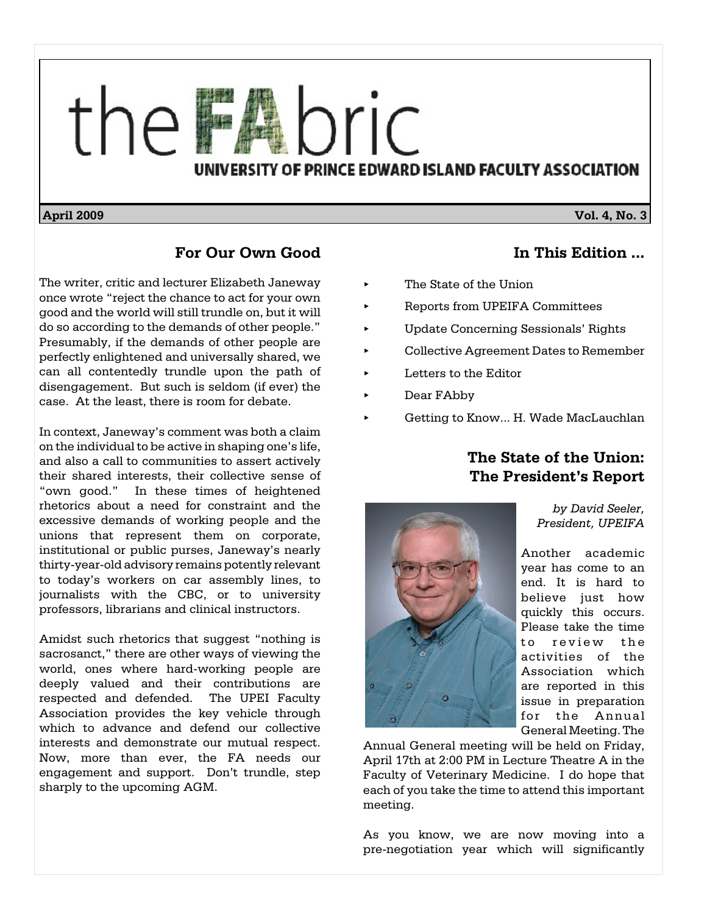

#### **April 2009** Vol. 4, No. 3

#### **For Our Own Good**

The writer, critic and lecturer Elizabeth Janeway once wrote "reject the chance to act for your own good and the world will still trundle on, but it will do so according to the demands of other people." Presumably, if the demands of other people are perfectly enlightened and universally shared, we can all contentedly trundle upon the path of disengagement.But such is seldom (if ever) the case. At the least, there is room for debate.

In context, Janeway's comment was both a claim on the individual to be active in shaping one's life, and also a call to communities to assert actively their shared interests, their collective sense of "own good." In these times of heightened rhetorics about a need for constraint and the excessive demands of working people and the unions that represent them on corporate, institutional or public purses, Janeway's nearly thirty-year-old advisory remains potently relevant to today's workers on car assembly lines, to journalists with the CBC, or to university professors, librarians and clinical instructors.

Amidst such rhetorics that suggest "nothing is sacrosanct," there are other ways of viewing the world, ones where hard-working people are deeply valued and their contributions are respected and defended. The UPEI Faculty Association provides the key vehicle through which to advance and defend our collective interests and demonstrate our mutual respect. Now, more than ever, the FA needs our engagement and support. Don't trundle, step sharply to the upcoming AGM.

**In This Edition ...**

- The State of the Union
- < Reports from UPEIFA Committees
- < Update Concerning Sessionals' Rights
- < Collective Agreement Dates to Remember
- < Letters to the Editor
- < Dear FAbby
- < Getting to Know... H. Wade MacLauchlan

## **The State of the Union: The President's Report**



*by David Seeler, President, UPEIFA*

Another academic year has come to an end. It is hard to believe just how quickly this occurs. Please take the time to review the activities of the Association which are reported in this issue in preparation for the Annual General Meeting. The

Annual General meeting will be held on Friday, April 17th at 2:00 PM in Lecture Theatre A in the Faculty of Veterinary Medicine. I do hope that each of you take the time to attend this important meeting.

As you know, we are now moving into a pre-negotiation year which will significantly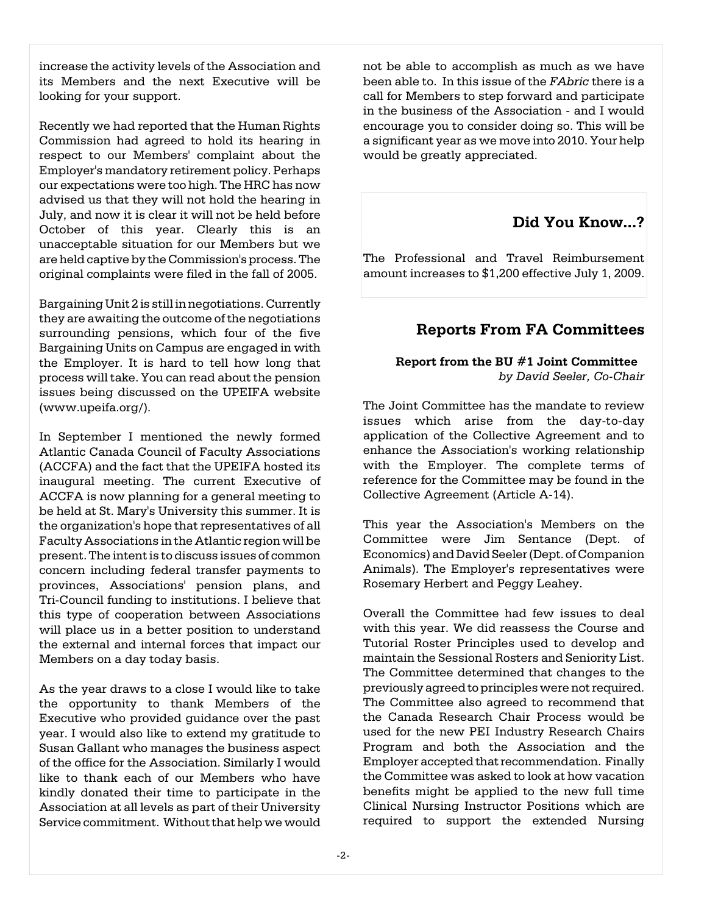increase the activity levels of the Association and its Members and the next Executive will be looking for your support.

Recently we had reported that the Human Rights Commission had agreed to hold its hearing in respect to our Members' complaint about the Employer's mandatory retirement policy. Perhaps our expectations were too high. The HRC has now advised us that they will not hold the hearing in July, and now it is clear it will not be held before October of this year. Clearly this is an unacceptable situation for our Members but we are held captive by the Commission's process. The original complaints were filed in the fall of 2005.

Bargaining Unit 2 is still in negotiations. Currently they are awaiting the outcome of the negotiations surrounding pensions, which four of the five Bargaining Units on Campus are engaged in with the Employer. It is hard to tell how long that process willtake. You can read about the pension issues being discussed on the UPEIFA website (www.upeifa.org/).

In September I mentioned the newly formed Atlantic Canada Council of Faculty Associations (ACCFA) and the fact that the UPEIFA hosted its inaugural meeting. The current Executive of ACCFA is now planning for a general meeting to be held at St. Mary's University this summer. It is the organization's hope that representatives of all Faculty Associations in the Atlantic region will be present. The intent is todiscuss issues of common concern including federal transfer payments to provinces, Associations' pension plans, and Tri-Council funding to institutions. I believe that this type of cooperation between Associations will place us in a better position to understand the external and internal forces that impact our Members on a day today basis.

As the year draws to a close I would like to take the opportunity to thank Members of the Executive who provided guidance over the past year. I would also like to extend my gratitude to Susan Gallant who manages the business aspect of the office for the Association. Similarly I would like to thank each of our Members who have kindly donated their time to participate in the Association at all levels as part of their University Service commitment. Without that help we would not be able to accomplish as much as we have been able to. In this issue of the *FAbric* there is a call for Members to step forward and participate in the business of the Association - and I would encourage you to consider doing so. This will be a significant year as we move into 2010. Your help would be greatly appreciated.

### **Did You Know...?**

The Professional and Travel Reimbursement amount increases to \$1,200 effective July 1, 2009.

### **Reports From FA Committees**

### **Report from the BU #1 Joint Committee**  *by David Seeler, Co-Chair*

The Joint Committee has the mandate to review issues which arise from the day-to-day application of the Collective Agreement and to enhance the Association's working relationship with the Employer. The complete terms of reference for the Committee may be found in the Collective Agreement (Article A-14).

This year the Association's Members on the Committee were Jim Sentance (Dept. of Economics) and David Seeler (Dept. of Companion Animals). The Employer's representatives were Rosemary Herbert and Peggy Leahey.

Overall the Committee had few issues to deal with this year. We did reassess the Course and Tutorial Roster Principles used to develop and maintain the Sessional Rosters and Seniority List. The Committee determined that changes to the previously agreed to principles were not required. The Committee also agreed to recommend that the Canada Research Chair Process would be used for the new PEI Industry Research Chairs Program and both the Association and the Employer accepted that recommendation. Finally the Committee was asked to look at how vacation benefits might be applied to the new full time Clinical Nursing Instructor Positions which are required to support the extended Nursing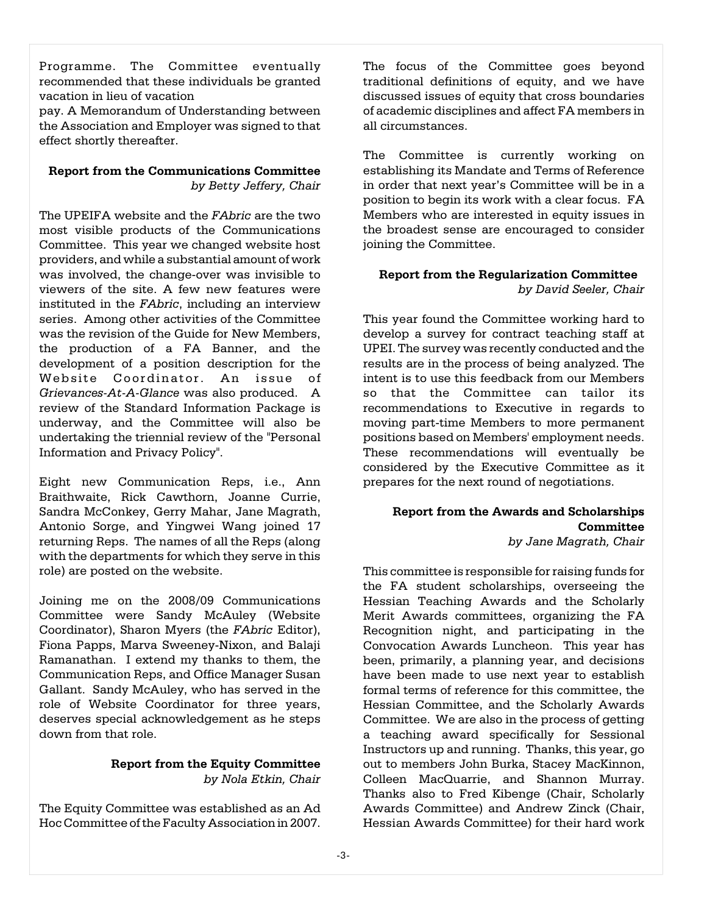Programme. The Committee eventually recommended that these individuals be granted vacation in lieu of vacation

pay. A Memorandum of Understanding between the Association and Employer was signed to that effect shortly thereafter.

#### **Report from the Communications Committee** *by Betty Jeffery, Chair*

The UPEIFA website and the *FAbric* are the two most visible products of the Communications Committee. This year we changed website host providers, and while a substantial amount of work was involved, the change-over was invisible to viewers of the site. A few new features were instituted in the *FAbric*, including an interview series. Among other activities of the Committee was the revision of the Guide for New Members, the production of a FA Banner, and the development of a position description for the Website Coordinator. An issue of *Grievances-At-A-Glance* was also produced. A review of the Standard Information Package is underway, and the Committee will also be undertaking the triennial review of the "Personal Information and Privacy Policy".

Eight new Communication Reps, i.e., Ann Braithwaite, Rick Cawthorn, Joanne Currie, Sandra McConkey, Gerry Mahar, Jane Magrath, Antonio Sorge, and Yingwei Wang joined 17 returning Reps. The names of all the Reps (along with the departments for which they serve in this role) are posted on the website.

Joining me on the 2008/09 Communications Committee were Sandy McAuley (Website Coordinator), Sharon Myers (the *FAbric* Editor), Fiona Papps, Marva Sweeney-Nixon, and Balaji Ramanathan. I extend my thanks to them, the Communication Reps, and Office Manager Susan Gallant. Sandy McAuley, who has served in the role of Website Coordinator for three years, deserves special acknowledgement as he steps down from that role.

#### **Report from the Equity Committee** *by Nola Etkin, Chair*

The Equity Committee was established as an Ad Hoc Committee of the Faculty Association in 2007.

The focus of the Committee goes beyond traditional definitions of equity, and we have discussed issues of equity that cross boundaries of academic disciplines and affect FA members in all circumstances.

The Committee is currently working on establishing its Mandate and Terms of Reference in order that next year's Committee will be in a position to begin its work with a clear focus. FA Members who are interested in equity issues in the broadest sense are encouraged to consider joining the Committee.

#### **Report from the Regularization Committee**  *by David Seeler, Chair*

This year found the Committee working hard to develop a survey for contract teaching staff at UPEI. The survey was recently conducted and the results are in the process of being analyzed. The intent is to use this feedback from our Members so that the Committee can tailor its recommendations to Executive in regards to moving part-time Members to more permanent positions based on Members' employment needs. These recommendations will eventually be considered by the Executive Committee as it prepares for the next round of negotiations.

#### **Report from the Awards and Scholarships Committee** *by Jane Magrath, Chair*

This committee is responsible for raising funds for the FA student scholarships, overseeing the Hessian Teaching Awards and the Scholarly Merit Awards committees, organizing the FA Recognition night, and participating in the Convocation Awards Luncheon. This year has been, primarily, a planning year, and decisions have been made to use next year to establish formal terms of reference for this committee, the Hessian Committee, and the Scholarly Awards Committee. We are also in the process of getting a teaching award specifically for Sessional Instructors up and running. Thanks, this year, go out to members John Burka, Stacey MacKinnon, Colleen MacQuarrie, and Shannon Murray. Thanks also to Fred Kibenge (Chair, Scholarly Awards Committee) and Andrew Zinck (Chair, Hessian Awards Committee) for their hard work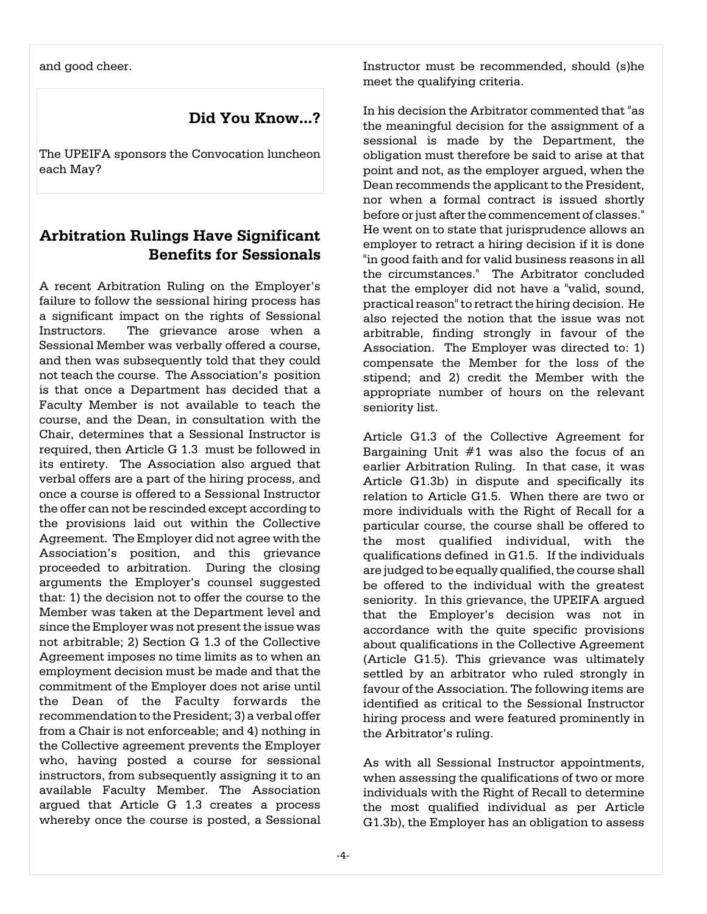and good cheer.

**Did You Know...?**

The UPEIFA sponsors the Convocation luncheon each May?

## **Arbitration Rulings Have Significant Benefits for Sessionals**

A recent Arbitration Ruling on the Employer's failure to follow the sessional hiring process has a significant impact on the rights of Sessional Instructors. The grievance arose when a Sessional Member was verbally offered a course, and then was subsequently told that they could not teach the course. The Association's position is that once a Department has decided that a Faculty Member is not available to teach the course, and the Dean, in consultation with the Chair, determines that a Sessional Instructor is required, then Article G 1.3 must be followed in its entirety. The Association also argued that verbal offers are a part of the hiring process, and once a course is offered to a Sessional Instructor the offer can not be rescinded except according to the provisions laid out within the Collective Agreement. The Employer did not agree with the Association's position, and this grievance proceeded to arbitration. During the closing arguments the Employer's counsel suggested that: 1) the decision not to offer the course to the Member was taken at the Department level and since the Employer was not present the issue was not arbitrable; 2) Section G 1.3 of the Collective Agreement imposes no time limits as to when an employment decision must be made and that the commitment of the Employer does not arise until the Dean of the Faculty forwards the recommendation to the President; 3) a verbal offer from a Chair is not enforceable; and 4) nothing in the Collective agreement prevents the Employer who, having posted a course for sessional instructors, from subsequently assigning it to an available Faculty Member. The Association argued that Article G 1.3 creates a process whereby once the course is posted, a Sessional

Instructor must be recommended, should (s)he meet the qualifying criteria.

In his decision the Arbitrator commented that "as the meaningful decision for the assignment of a sessional is made by the Department, the obligation must therefore be said to arise at that point and not, as the employer argued, when the Dean recommends the applicant to the President, nor when a formal contract is issued shortly before or just after the commencement of classes." He went on to state that jurisprudence allows an employer to retract a hiring decision if it is done "in good faith and for valid business reasons in all the circumstances." The Arbitrator concluded that the employer did not have a "valid, sound, practical reason" to retract the hiring decision. He also rejected the notion that the issue was not arbitrable, finding strongly in favour of the Association. The Employer was directed to: 1) compensate the Member for the loss of the stipend; and 2) credit the Member with the appropriate number of hours on the relevant seniority list.

Article G1.3 of the Collective Agreement for Bargaining Unit #1 was also the focus of an earlier Arbitration Ruling. In that case, it was Article G1.3b) in dispute and specifically its relation to Article G1.5. When there are two or more individuals with the Right of Recall for a particular course, the course shall be offered to the most qualified individual, with the qualifications defined in G1.5. If the individuals are judged to be equally qualified, the course shall be offered to the individual with the greatest seniority. In this grievance, the UPEIFA argued that the Employer's decision was not in accordance with the quite specific provisions about qualifications in the Collective Agreement (Article G1.5). This grievance was ultimately settled by an arbitrator who ruled strongly in favour of the Association. The following items are identified as critical to the Sessional Instructor hiring process and were featured prominently in the Arbitrator's ruling.

As with all Sessional Instructor appointments, when assessing the qualifications of two or more individuals with the Right of Recall to determine the most qualified individual as per Article G1.3b), the Employer has an obligation to assess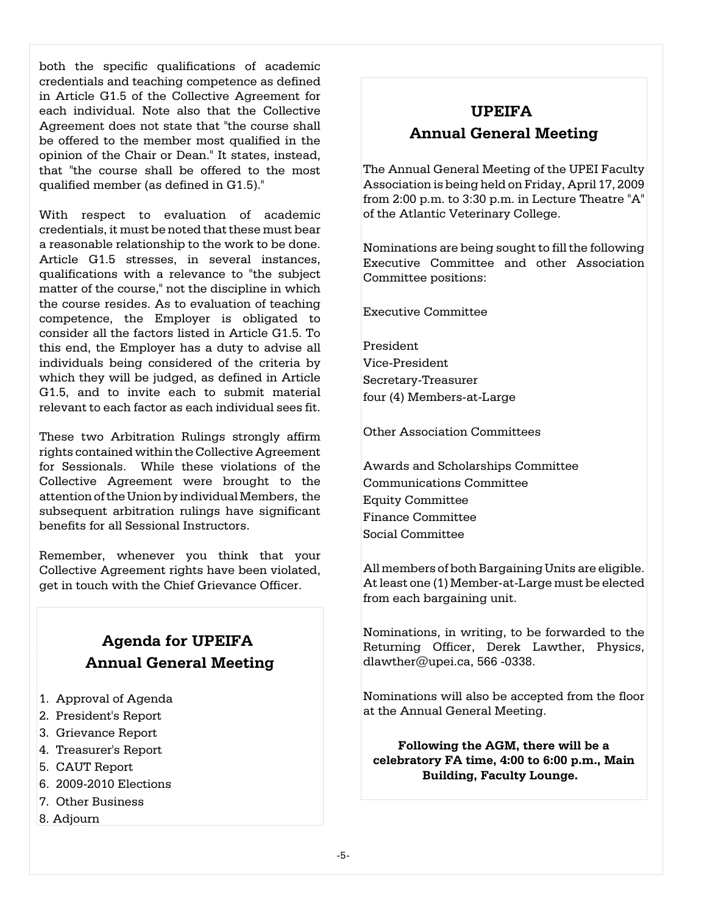both the specific qualifications of academic credentials and teaching competence as defined in Article G1.5 of the Collective Agreement for each individual. Note also that the Collective Agreement does not state that "the course shall be offered to the member most qualified in the opinion of the Chair or Dean." It states, instead, that "the course shall be offered to the most qualified member (as defined in G1.5)."

With respect to evaluation of academic credentials, it must be noted that these must bear a reasonable relationship to the work to be done. Article G1.5 stresses, in several instances, qualifications with a relevance to "the subject matter of the course," not the discipline in which the course resides. As to evaluation of teaching competence, the Employer is obligated to consider all the factors listed in Article G1.5. To this end, the Employer has a duty to advise all individuals being considered of the criteria by which they will be judged, as defined in Article G1.5, and to invite each to submit material relevant to each factor as each individual sees fit.

These two Arbitration Rulings strongly affirm rights contained within the Collective Agreement for Sessionals. While these violations of the Collective Agreement were brought to the attention of the Union by individual Members, the subsequent arbitration rulings have significant benefits for all Sessional Instructors.

Remember, whenever you think that your Collective Agreement rights have been violated, get in touch with the Chief Grievance Officer.

# **Agenda for UPEIFA Annual General Meeting**

- 1. Approval of Agenda
- 2. President's Report
- 3. Grievance Report
- 4. Treasurer's Report
- 5. CAUT Report
- 6. 2009-2010 Elections
- 7. Other Business
- 8. Adjourn

# **UPEIFA Annual General Meeting**

The Annual General Meeting of the UPEI Faculty Association is being held on Friday, April 17, 2009 from 2:00 p.m. to 3:30 p.m. in Lecture Theatre "A" of the Atlantic Veterinary College.

Nominations are being sought to fill the following Executive Committee and other Association Committee positions:

Executive Committee

President Vice-President Secretary-Treasurer four (4) Members-at-Large

Other Association Committees

Awards and Scholarships Committee Communications Committee Equity Committee Finance Committee Social Committee

All members of both Bargaining Units are eligible. At least one (1) Member-at-Large must be elected from each bargaining unit.

Nominations, in writing, to be forwarded to the Returning Officer, Derek Lawther, Physics, dlawther@upei.ca, 566 -0338.

Nominations will also be accepted from the floor at the Annual General Meeting.

**Following the AGM, there will be a celebratory FA time, 4:00 to 6:00 p.m., Main Building, Faculty Lounge.**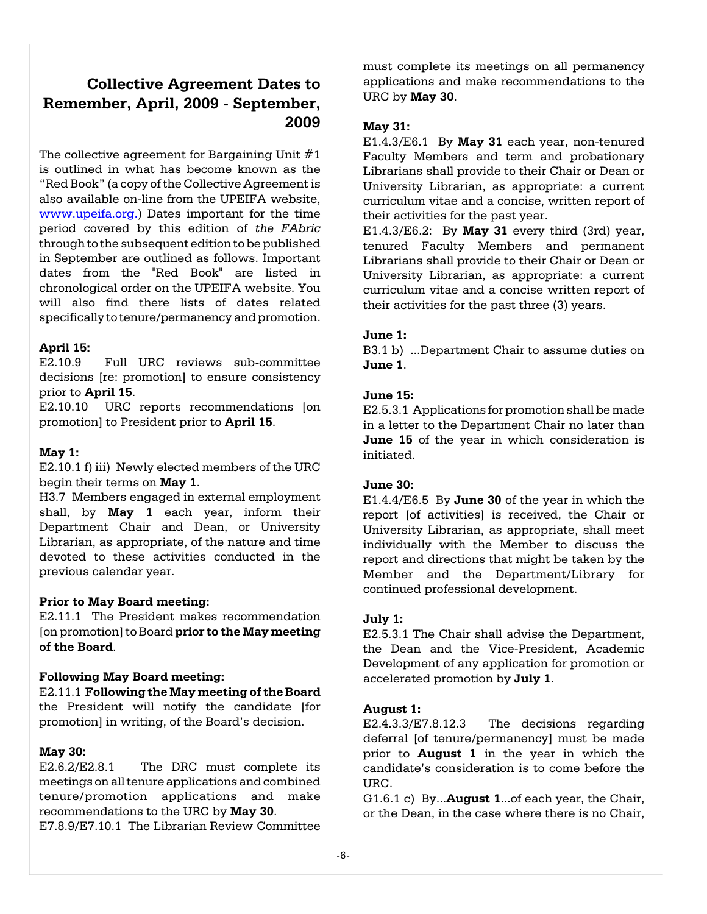## **Collective Agreement Dates to Remember, April, 2009 - September, 2009**

The collective agreement for Bargaining Unit  $#1$ is outlined in what has become known as the "Red Book" (a copy of the Collective Agreement is also available on-line from the UPEIFA website, [www.upeifa.org.](http://www.upeifa.org.))) Dates important for the time period covered by this edition of *the FAbric* through to the subsequent edition to be published in September are outlined as follows. Important dates from the "Red Book" are listed in chronological order on the UPEIFA website. You will also find there lists of dates related specifically to tenure/permanency and promotion.

#### **April 15:**

E2.10.9 Full URC reviews sub-committee decisions [re: promotion] to ensure consistency prior to **April 15**.

E2.10.10 URC reports recommendations [on promotion] to President prior to **April 15**.

#### **May 1:**

E2.10.1 f) iii) Newly elected members of the URC begin their terms on **May 1**.

H3.7 Members engaged in external employment shall, by **May 1** each year, inform their Department Chair and Dean, or University Librarian, as appropriate, of the nature and time devoted to these activities conducted in the previous calendar year.

#### **Prior to May Board meeting:**

E2.11.1 The President makes recommendation [on promotion] to Board **prior to the May meeting of the Board**.

#### **Following May Board meeting:**

E2.11.1 **Following the May meeting of the Board** the President will notify the candidate [for promotion] in writing, of the Board's decision.

#### **May 30:**

E2.6.2/E2.8.1 The DRC must complete its meetings on all tenure applications and combined tenure/promotion applications and make recommendations to the URC by **May 30**.

E7.8.9/E7.10.1 The Librarian Review Committee

must complete its meetings on all permanency applications and make recommendations to the URC by **May 30**.

#### **May 31:**

E1.4.3/E6.1By **May 31** each year, non-tenured Faculty Members and term and probationary Librarians shall provide to their Chair or Dean or University Librarian, as appropriate: a current curriculum vitae and a concise, written report of their activities for the past year.

E1.4.3/E6.2:By **May 31** every third (3rd) year, tenured Faculty Members and permanent Librarians shall provide to their Chair or Dean or University Librarian, as appropriate: a current curriculum vitae and a concise written report of their activities for the past three (3) years.

#### **June 1:**

B3.1 b) ...Department Chair to assume duties on **June 1**.

#### **June 15:**

E2.5.3.1 Applications for promotion shall be made in a letter to the Department Chair no later than **June 15** of the year in which consideration is initiated.

#### **June 30:**

E1.4.4/E6.5 By **June 30** of the year in which the report [of activities] is received, the Chair or University Librarian, as appropriate, shall meet individually with the Member to discuss the report and directions that might be taken by the Member and the Department/Library for continued professional development.

#### **July 1:**

E2.5.3.1 The Chair shall advise the Department, the Dean and the Vice-President, Academic Development of any application for promotion or accelerated promotion by **July 1**.

#### **August 1:**

E2.4.3.3/E7.8.12.3 The decisions regarding deferral [of tenure/permanency] must be made prior to **August 1** in the year in which the candidate's consideration is to come before the URC.

G1.6.1 c) By...**August 1**...of each year, the Chair, or the Dean, in the case where there is no Chair,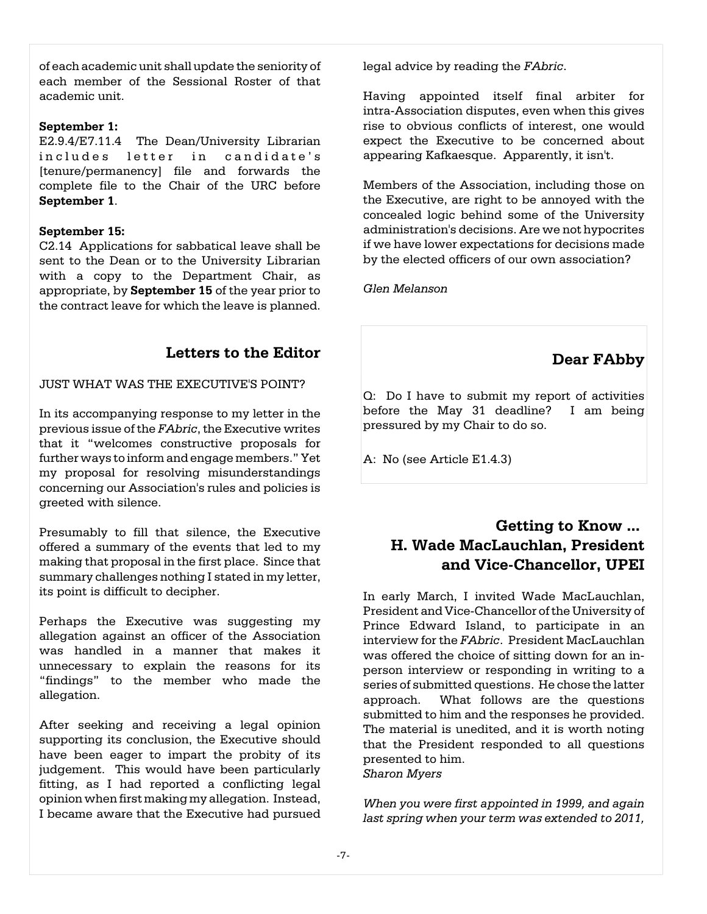of each academic unit shall update the seniority of each member of the Sessional Roster of that academic unit.

#### **September 1:**

E2.9.4/E7.11.4 The Dean/University Librarian includes letter in candidate's [tenure/permanency] file and forwards the complete file to the Chair of the URC before **September 1**.

#### **September 15:**

C2.14 Applications for sabbatical leave shall be sent to the Dean or to the University Librarian with a copy to the Department Chair, as appropriate, by **September 15** of the year prior to the contract leave for which the leave is planned.

### **Letters to the Editor**

JUST WHAT WAS THE EXECUTIVE'S POINT?

In its accompanying response to my letter in the previous issue of the *FAbric*, the Executive writes that it "welcomes constructive proposals for further ways to inform and engage members." Yet my proposal for resolving misunderstandings concerning our Association's rules and policies is greeted with silence.

Presumably to fill that silence, the Executive offered a summary of the events that led to my making that proposal in the first place. Since that summary challenges nothing I stated in my letter, its point is difficult to decipher.

Perhaps the Executive was suggesting my allegation against an officer of the Association was handled in a manner that makes it unnecessary to explain the reasons for its "findings" to the member who made the allegation.

After seeking and receiving a legal opinion supporting its conclusion, the Executive should have been eager to impart the probity of its judgement. This would have been particularly fitting, as I had reported a conflicting legal opinion when first making my allegation. Instead, I became aware that the Executive had pursued legal advice by reading the *FAbric*.

Having appointed itself final arbiter for intra-Association disputes, even when this gives rise to obvious conflicts of interest, one would expect the Executive to be concerned about appearing Kafkaesque. Apparently, it isn't.

Members of the Association, including those on the Executive, are right to be annoyed with the concealed logic behind some of the University administration's decisions. Are we not hypocrites if we have lower expectations for decisions made by the elected officers of our own association?

*Glen Melanson*

## **Dear FAbby**

Q: Do I have to submit my report of activities before the May 31 deadline? I am being pressured by my Chair to do so.

A: No (see Article E1.4.3)

### **Getting to Know ... H. Wade MacLauchlan, President and Vice-Chancellor, UPEI**

In early March, I invited Wade MacLauchlan, President and Vice-Chancellor of the University of Prince Edward Island, to participate in an interview for the *FAbric*. President MacLauchlan was offered the choice of sitting down for an inperson interview or responding in writing to a series of submitted questions. He chose the latter approach. What follows are the questions submitted to him and the responses he provided. The material is unedited, and it is worth noting that the President responded to all questions presented to him. *Sharon Myers*

*When you were first appointed in 1999, and again last spring when your term was extended to 2011,*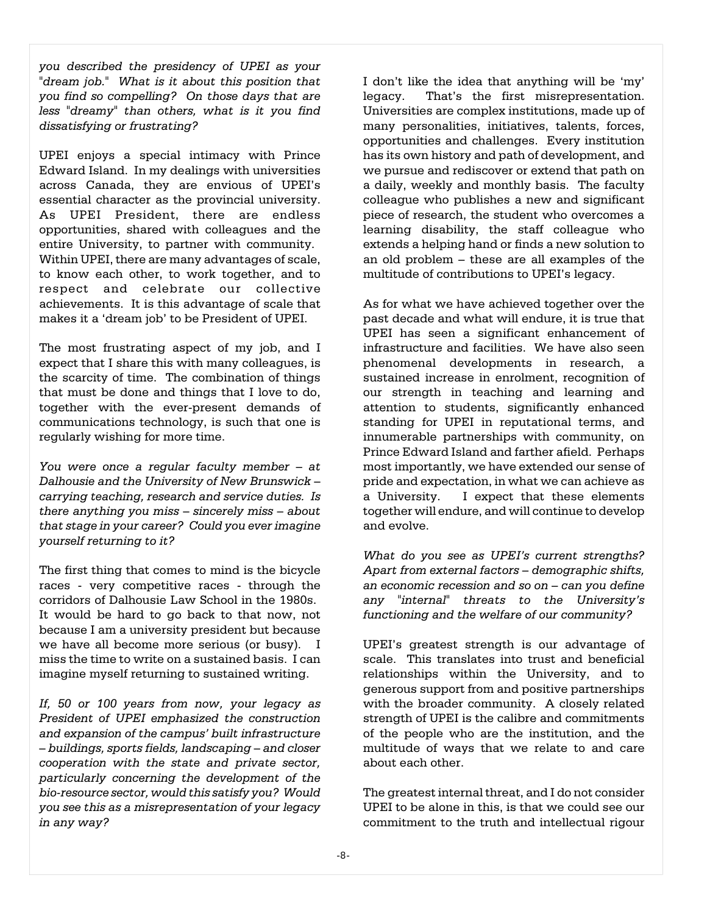*you described the presidency of UPEI as your "dream job." What is it about this position that you find so compelling? On those days that are less "dreamy" than others, what is it you find dissatisfying or frustrating?* 

UPEI enjoys a special intimacy with Prince Edward Island. In my dealings with universities across Canada, they are envious of UPEI's essential character as the provincial university. As UPEI President, there are endless opportunities, shared with colleagues and the entire University, to partner with community. Within UPEI, there are many advantages of scale, to know each other, to work together, and to respect and celebrate our collective achievements. It is this advantage of scale that makes it a 'dream job' to be President of UPEI.

The most frustrating aspect of my job, and I expect that I share this with many colleagues, is the scarcity of time. The combination of things that must be done and things that I love to do, together with the ever-present demands of communications technology, is such that one is regularly wishing for more time.

*You were once a regular faculty member – at Dalhousie and the University of New Brunswick – carrying teaching, research and service duties. Is there anything you miss – sincerely miss – about that stage in your career? Could you ever imagine yourself returning to it?* 

The first thing that comes to mind is the bicycle races - very competitive races - through the corridors of Dalhousie Law School in the 1980s. It would be hard to go back to that now, not because I am a university president but because we have all become more serious (or busy). I miss the time to write on a sustained basis. I can imagine myself returning to sustained writing.

*If, 50 or 100 years from now, your legacy as President of UPEI emphasized the construction and expansion of the campus' built infrastructure – buildings, sports fields, landscaping – and closer cooperation with the state and private sector, particularly concerning the development of the bio-resource sector, would this satisfy you? Would you see this as a misrepresentation of your legacy in any way?* 

I don't like the idea that anything will be 'my' legacy. That's the first misrepresentation. Universities are complex institutions, made up of many personalities, initiatives, talents, forces, opportunities and challenges. Every institution has its own history and path of development, and we pursue and rediscover or extend that path on a daily, weekly and monthly basis. The faculty colleague who publishes a new and significant piece of research, the student who overcomes a learning disability, the staff colleague who extends a helping hand or finds a new solution to an old problem – these are all examples of the multitude of contributions to UPEI's legacy.

As for what we have achieved together over the past decade and what will endure, it is true that UPEI has seen a significant enhancement of infrastructure and facilities. We have also seen phenomenal developments in research, a sustained increase in enrolment, recognition of our strength in teaching and learning and attention to students, significantly enhanced standing for UPEI in reputational terms, and innumerable partnerships with community, on Prince Edward Island and farther afield. Perhaps most importantly, we have extended our sense of pride and expectation, in what we can achieve as a University. I expect that these elements together will endure, and will continue to develop and evolve.

*What do you see as UPEI's current strengths? Apart from external factors – demographic shifts, an economic recession and so on – can you define any "internal" threats to the University's functioning and the welfare of our community?* 

UPEI's greatest strength is our advantage of scale. This translates into trust and beneficial relationships within the University, and to generous support from and positive partnerships with the broader community. A closely related strength of UPEI is the calibre and commitments of the people who are the institution, and the multitude of ways that we relate to and care about each other.

The greatest internal threat, and I do not consider UPEI to be alone in this, is that we could see our commitment to the truth and intellectual rigour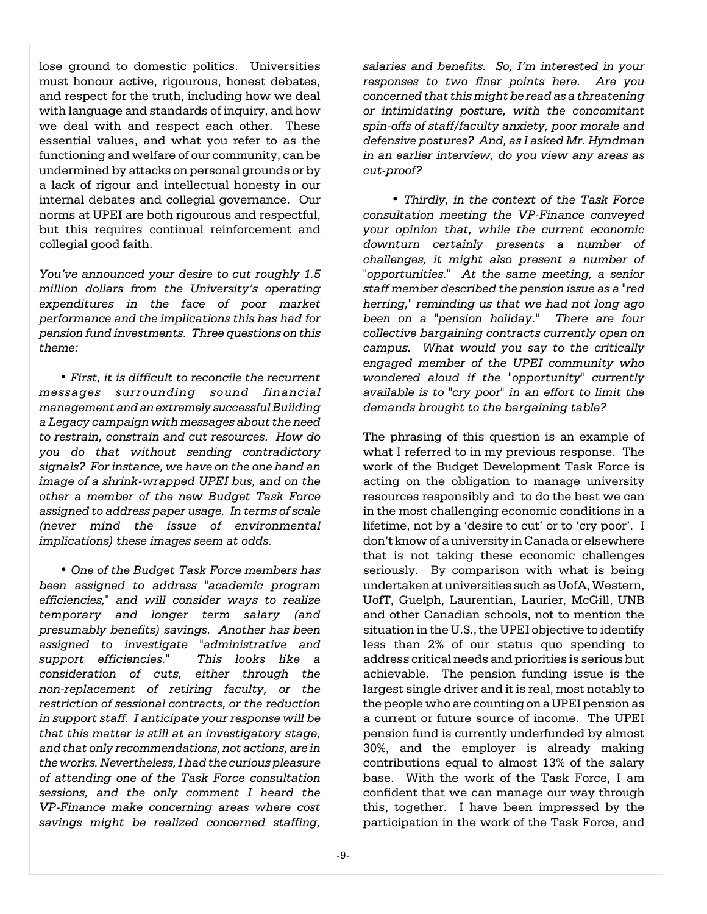lose ground to domestic politics. Universities must honour active, rigourous, honest debates, and respect for the truth, including how we deal with language and standards of inquiry, and how we deal with and respect each other. These essential values, and what you refer to as the functioning and welfare of our community, can be undermined by attacks on personal grounds or by a lack of rigour and intellectual honesty in our internal debates and collegial governance. Our norms at UPEI are both rigourous and respectful, but this requires continual reinforcement and collegial good faith.

*You've announced your desire to cut roughly 1.5 million dollars from the University's operating expenditures in the face of poor market performance and the implications this has had for pension fund investments. Three questions on this theme:*

 *• First, it is difficult to reconcile the recurrent messages surrounding sound financial management and an extremely successful Building a Legacy campaign with messages about the need to restrain, constrain and cut resources. How do you do that without sending contradictory signals? For instance, we have on the one hand an image of a shrink-wrapped UPEI bus, and on the other a member of the new Budget Task Force assigned to address paper usage. In terms of scale (never mind the issue of environmental implications) these images seem at odds.*

 *• One of the Budget Task Force members has been assigned to address "academic program efficiencies," and will consider ways to realize temporary and longer term salary (and presumably benefits) savings. Another has been assigned to investigate "administrative and support efficiencies." This looks like a consideration of cuts, either through the non-replacement of retiring faculty, or the restriction of sessional contracts, or the reduction in support staff. I anticipate your response will be that this matter is still at an investigatory stage, and that only recommendations, not actions, are in the works. Nevertheless, I had the curious pleasure of attending one of the Task Force consultation sessions, and the only comment I heard the VP-Finance make concerning areas where cost savings might be realized concerned staffing,*

*salaries and benefits. So, I'm interested in your responses to two finer points here. Are you concerned that this might be read as a threatening or intimidating posture, with the concomitant spin-offs of staff/faculty anxiety, poor morale and defensive postures? And, as I asked Mr. Hyndman in an earlier interview, do you view any areas as cut-proof?*

 *• Thirdly, in the context of the Task Force consultation meeting the VP-Finance conveyed your opinion that, while the current economic downturn certainly presents a number of challenges, it might also present a number of "opportunities." At the same meeting, a senior staff member described the pension issue as a "red herring," reminding us that we had not long ago been on a "pension holiday." There are four collective bargaining contracts currently open on campus. What would you say to the critically engaged member of the UPEI community who wondered aloud if the "opportunity" currently available is to "cry poor" in an effort to limit the demands brought to the bargaining table?*

The phrasing of this question is an example of what I referred to in my previous response. The work of the Budget Development Task Force is acting on the obligation to manage university resources responsibly and to do the best we can in the most challenging economic conditions in a lifetime, not by a 'desire to cut' or to 'cry poor'. I don't know of a university in Canada or elsewhere that is not taking these economic challenges seriously. By comparison with what is being undertaken at universities such as UofA, Western, UofT, Guelph, Laurentian, Laurier, McGill, UNB and other Canadian schools, not to mention the situation in the U.S., the UPEI objective to identify less than 2% of our status quo spending to address critical needs and priorities is serious but achievable. The pension funding issue is the largest single driver and it is real, most notably to the people who are counting on a UPEI pension as a current or future source of income. The UPEI pension fund is currently underfunded by almost 30%, and the employer is already making contributions equal to almost 13% of the salary base. With the work of the Task Force, I am confident that we can manage our way through this, together. I have been impressed by the participation in the work of the Task Force, and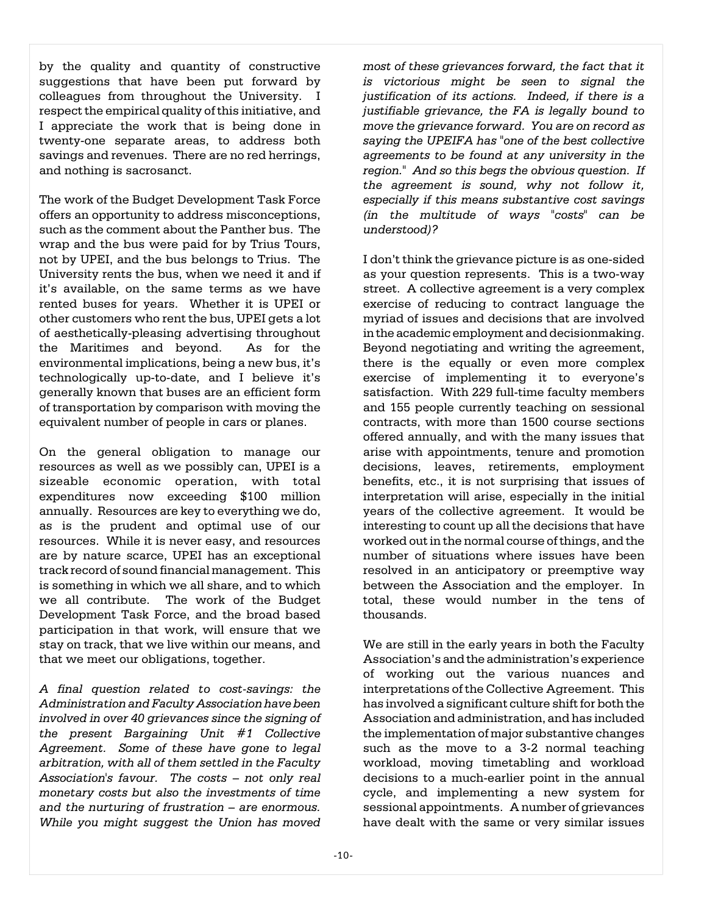by the quality and quantity of constructive suggestions that have been put forward by colleagues from throughout the University. I respect the empirical quality ofthis initiative, and I appreciate the work that is being done in twenty-one separate areas, to address both savings and revenues. There are no red herrings, and nothing is sacrosanct.

The work of the Budget Development Task Force offers an opportunity to address misconceptions, such as the comment about the Panther bus. The wrap and the bus were paid for by Trius Tours, not by UPEI, and the bus belongs to Trius. The University rents the bus, when we need it and if it's available, on the same terms as we have rented buses for years. Whether it is UPEI or other customers who rent the bus, UPEI gets a lot of aesthetically-pleasing advertising throughout the Maritimes and beyond. As for the environmental implications, being a new bus, it's technologically up-to-date, and I believe it's generally known that buses are an efficient form of transportation by comparison with moving the equivalent number of people in cars or planes.

On the general obligation to manage our resources as well as we possibly can, UPEI is a sizeable economic operation, with total expenditures now exceeding \$100 million annually. Resources are key to everything we do, as is the prudent and optimal use of our resources. While it is never easy, and resources are by nature scarce, UPEI has an exceptional track record of sound financial management. This is something in which we all share, and to which we all contribute. The work of the Budget Development Task Force, and the broad based participation in that work, will ensure that we stay on track, that we live within our means, and that we meet our obligations, together.

*A final question related to cost-savings: the Administration and Faculty Association have been involved in over 40 grievances since the signing of the present Bargaining Unit #1 Collective Agreement. Some of these have gone to legal arbitration, with all of them settled in the Faculty Association's favour. The costs – not only real monetary costs but also the investments of time and the nurturing of frustration – are enormous. While you might suggest the Union has moved*

*most of these grievances forward, the fact that it is victorious might be seen to signal the justification of its actions. Indeed, if there is a justifiable grievance, the FA is legally bound to move the grievance forward. You are on record as saying the UPEIFA has "one of the best collective agreements to be found at any university in the region." And so this begs the obvious question. If the agreement is sound, why not follow it, especially if this means substantive cost savings (in the multitude of ways "costs" can be understood)?* 

I don't think the grievance picture is as one-sided as your question represents. This is a two-way street. A collective agreement is a very complex exercise of reducing to contract language the myriad of issues and decisions that are involved in the academic employment and decisionmaking. Beyond negotiating and writing the agreement, there is the equally or even more complex exercise of implementing it to everyone's satisfaction. With 229 full-time faculty members and 155 people currently teaching on sessional contracts, with more than 1500 course sections offered annually, and with the many issues that arise with appointments, tenure and promotion decisions, leaves, retirements, employment benefits, etc., it is not surprising that issues of interpretation will arise, especially in the initial years of the collective agreement. It would be interesting to count up all the decisions that have worked out in the normal course of things, and the number of situations where issues have been resolved in an anticipatory or preemptive way between the Association and the employer. In total, these would number in the tens of thousands.

We are still in the early years in both the Faculty Association's and the administration's experience of working out the various nuances and interpretations of the Collective Agreement. This has involved a significant culture shift for both the Association and administration, and has included the implementation of major substantive changes such as the move to a 3-2 normal teaching workload, moving timetabling and workload decisions to a much-earlier point in the annual cycle, and implementing a new system for sessional appointments. A number of grievances have dealt with the same or very similar issues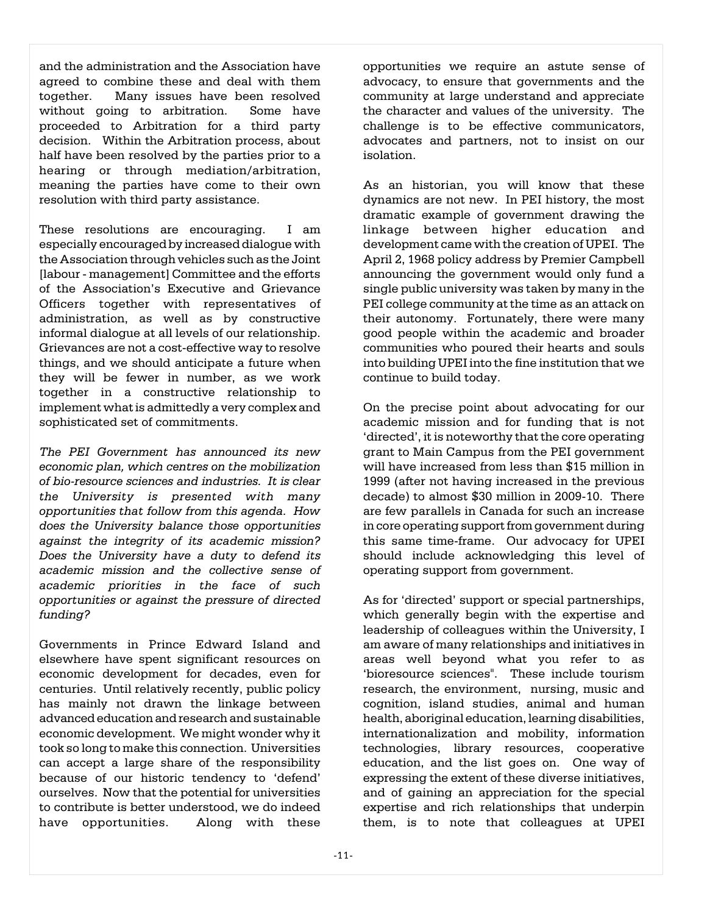and the administration and the Association have agreed to combine these and deal with them together. Many issues have been resolved without going to arbitration. Some have proceeded to Arbitration for a third party decision. Within the Arbitration process, about half have been resolved by the parties prior to a hearing or through mediation/arbitration, meaning the parties have come to their own resolution with third party assistance.

These resolutions are encouraging. I am especially encouraged by increased dialogue with the Association through vehicles such as the Joint [labour - management] Committee and the efforts of the Association's Executive and Grievance Officers together with representatives of administration, as well as by constructive informal dialogue at all levels of our relationship. Grievances are not a cost-effective way to resolve things, and we should anticipate a future when they will be fewer in number, as we work together in a constructive relationship to implement what is admittedly a very complex and sophisticated set of commitments.

*The PEI Government has announced its new economic plan, which centres on the mobilization of bio-resource sciences and industries. It is clear the University is presented with many opportunities that follow from this agenda. How does the University balance those opportunities against the integrity of its academic mission? Does the University have a duty to defend its academic mission and the collective sense of academic priorities in the face of such opportunities or against the pressure of directed funding?* 

Governments in Prince Edward Island and elsewhere have spent significant resources on economic development for decades, even for centuries. Until relatively recently, public policy has mainly not drawn the linkage between advanced education and research and sustainable economic development. We might wonder why it took so long to make this connection. Universities can accept a large share of the responsibility because of our historic tendency to 'defend' ourselves. Now that the potential for universities to contribute is better understood, we do indeed have opportunities. Along with these

opportunities we require an astute sense of advocacy, to ensure that governments and the community at large understand and appreciate the character and values of the university. The challenge is to be effective communicators, advocates and partners, not to insist on our isolation.

As an historian, you will know that these dynamics are not new. In PEI history, the most dramatic example of government drawing the linkage between higher education and development came with the creation of UPEI. The April 2, 1968 policy address by Premier Campbell announcing the government would only fund a single public university was taken by many in the PEI college community at the time as an attack on their autonomy. Fortunately, there were many good people within the academic and broader communities who poured their hearts and souls into building UPEI into the fine institution that we continue to build today.

On the precise point about advocating for our academic mission and for funding that is not 'directed', it is noteworthy that the core operating grant to Main Campus from the PEI government will have increased from less than \$15 million in 1999 (after not having increased in the previous decade) to almost \$30 million in 2009-10. There are few parallels in Canada for such an increase in core operating support from government during this same time-frame. Our advocacy for UPEI should include acknowledging this level of operating support from government.

As for 'directed' support or special partnerships, which generally begin with the expertise and leadership of colleagues within the University, I am aware of many relationships and initiatives in areas well beyond what you refer to as 'bioresource sciences". These include tourism research, the environment, nursing, music and cognition, island studies, animal and human health, aboriginal education, learning disabilities, internationalization and mobility, information technologies, library resources, cooperative education, and the list goes on. One way of expressing the extent of these diverse initiatives, and of gaining an appreciation for the special expertise and rich relationships that underpin them, is to note that colleagues at UPEI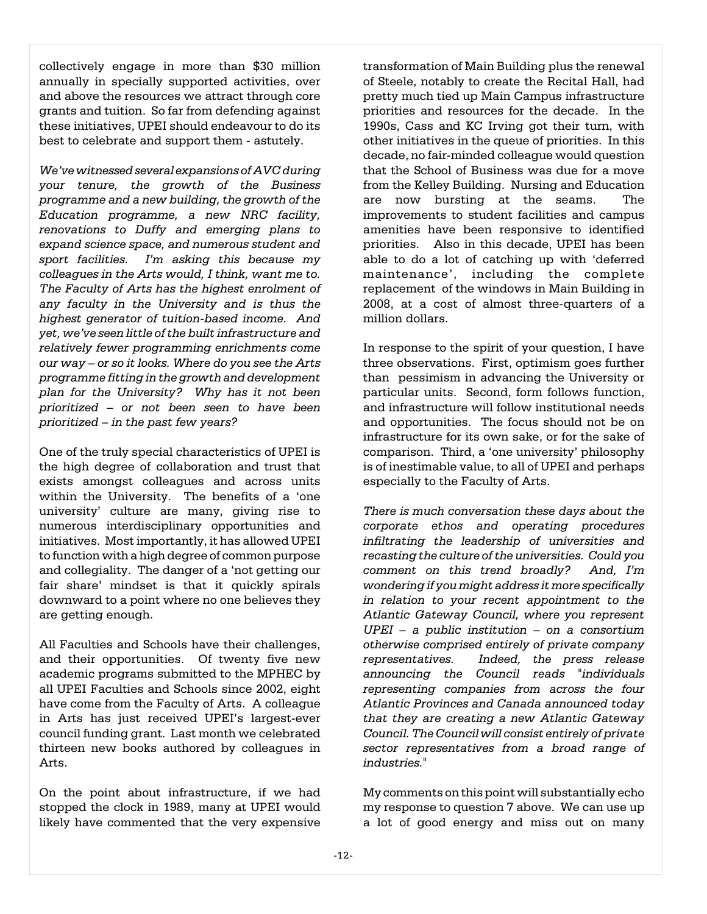collectively engage in more than \$30 million annually in specially supported activities, over and above the resources we attract through core grants and tuition. So far from defending against these initiatives, UPEI should endeavour to do its best to celebrate and support them - astutely.

*We've witnessed several expansions of AVC during your tenure, the growth of the Business programme and a new building, the growth of the Education programme, a new NRC facility, renovations to Duffy and emerging plans to expand science space, and numerous student and sport facilities. I'm asking this because my colleagues in the Arts would, I think, want me to. The Faculty of Arts has the highest enrolment of any faculty in the University and is thus the highest generator of tuition-based income. And yet, we've seen little of the built infrastructure and relatively fewer programming enrichments come our way – or so it looks. Where do you see the Arts programme fitting in the growth and development plan for the University? Why has it not been prioritized – or not been seen to have been prioritized – in the past few years?* 

One of the truly special characteristics of UPEI is the high degree of collaboration and trust that exists amongst colleagues and across units within the University. The benefits of a 'one university' culture are many, giving rise to numerous interdisciplinary opportunities and initiatives. Most importantly, it has allowed UPEI to function with a high degree of common purpose and collegiality. The danger of a 'not getting our fair share' mindset is that it quickly spirals downward to a point where no one believes they are getting enough.

All Faculties and Schools have their challenges, and their opportunities. Of twenty five new academic programs submitted to the MPHEC by all UPEI Faculties and Schools since 2002, eight have come from the Faculty of Arts. A colleague in Arts has just received UPEI's largest-ever council funding grant. Last month we celebrated thirteen new books authored by colleagues in Arts.

On the point about infrastructure, if we had stopped the clock in 1989, many at UPEI would likely have commented that the very expensive transformation of Main Building plus the renewal of Steele, notably to create the Recital Hall, had pretty much tied up Main Campus infrastructure priorities and resources for the decade. In the 1990s, Cass and KC Irving got their turn, with other initiatives in the queue of priorities. In this decade, no fair-minded colleague would question that the School of Business was due for a move from the Kelley Building. Nursing and Education are now bursting at the seams. The improvements to student facilities and campus amenities have been responsive to identified priorities. Also in this decade, UPEI has been able to do a lot of catching up with 'deferred maintenance', including the complete replacement of the windows in Main Building in 2008, at a cost of almost three-quarters of a million dollars.

In response to the spirit of your question, I have three observations. First, optimism goes further than pessimism in advancing the University or particular units. Second, form follows function, and infrastructure will follow institutional needs and opportunities. The focus should not be on infrastructure for its own sake, or for the sake of comparison. Third, a 'one university' philosophy is of inestimable value, to all of UPEI and perhaps especially to the Faculty of Arts.

*There is much conversation these days about the corporate ethos and operating procedures infiltrating the leadership of universities and recasting the culture of the universities. Could you comment on this trend broadly? And, I'm wondering if you might address it more specifically in relation to your recent appointment to the Atlantic Gateway Council, where you represent UPEI – a public institution – on a consortium otherwise comprised entirely of private company representatives. Indeed, the press release announcing the Council reads "individuals representing companies from across the four Atlantic Provinces and Canada announced today that they are creating a new Atlantic Gateway Council. The Council will consist entirely of private sector representatives from a broad range of industries."* 

My comments on this point will substantially echo my response to question 7 above. We can use up a lot of good energy and miss out on many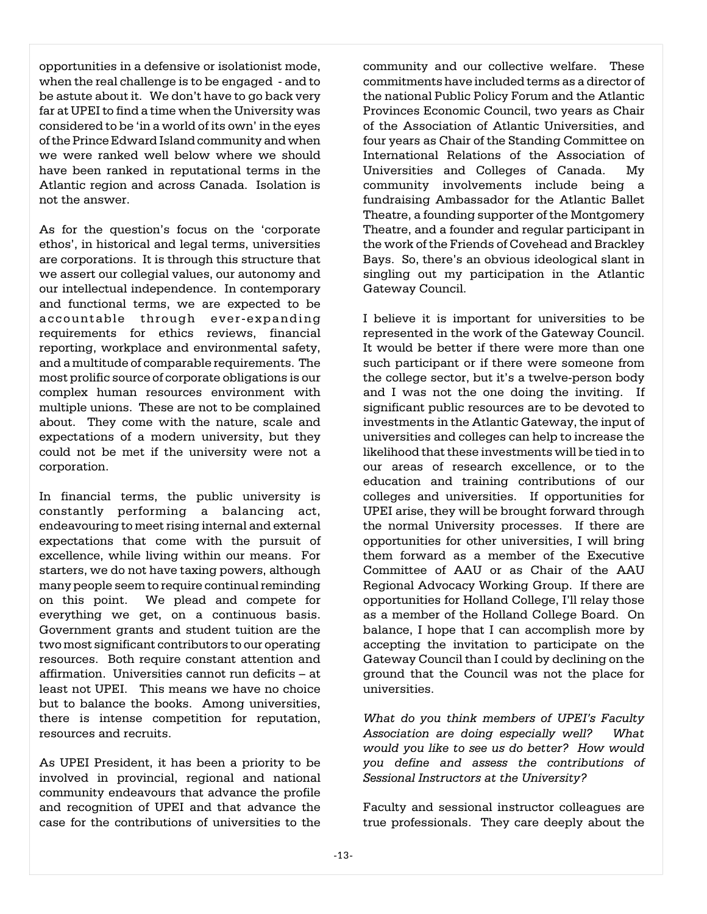opportunities in a defensive or isolationist mode, when the real challenge is to be engaged - and to be astute about it. We don't have to go back very far at UPEI to find a time when the University was considered to be 'in a world of its own' in the eyes of the Prince Edward Island community and when we were ranked well below where we should have been ranked in reputational terms in the Atlantic region and across Canada. Isolation is not the answer.

As for the question's focus on the 'corporate ethos', in historical and legal terms, universities are corporations. It is through this structure that we assert our collegial values, our autonomy and our intellectual independence. In contemporary and functional terms, we are expected to be accountable through ever-expanding requirements for ethics reviews, financial reporting, workplace and environmental safety, and a multitude of comparable requirements. The most prolific source of corporate obligations is our complex human resources environment with multiple unions. These are not to be complained about. They come with the nature, scale and expectations of a modern university, but they could not be met if the university were not a corporation.

In financial terms, the public university is constantly performing a balancing act, endeavouring to meet rising internal and external expectations that come with the pursuit of excellence, while living within our means. For starters, we do not have taxing powers, although many people seem to require continual reminding on this point. We plead and compete for everything we get, on a continuous basis. Government grants and student tuition are the two most significant contributors to our operating resources. Both require constant attention and affirmation. Universities cannot run deficits – at least not UPEI. This means we have no choice but to balance the books. Among universities, there is intense competition for reputation, resources and recruits.

As UPEI President, it has been a priority to be involved in provincial, regional and national community endeavours that advance the profile and recognition of UPEI and that advance the case for the contributions of universities to the

community and our collective welfare. These commitments have included terms as a director of the national Public Policy Forum and the Atlantic Provinces Economic Council, two years as Chair of the Association of Atlantic Universities, and four years as Chair of the Standing Committee on International Relations of the Association of Universities and Colleges of Canada. My community involvements include being a fundraising Ambassador for the Atlantic Ballet Theatre, a founding supporter of the Montgomery Theatre, and a founder and regular participant in the work of the Friends of Covehead and Brackley Bays. So, there's an obvious ideological slant in singling out my participation in the Atlantic Gateway Council.

I believe it is important for universities to be represented in the work of the Gateway Council. It would be better if there were more than one such participant or if there were someone from the college sector, but it's a twelve-person body and I was not the one doing the inviting. If significant public resources are to be devoted to investments in the Atlantic Gateway, the input of universities and colleges can help to increase the likelihood that these investments will be tied in to our areas of research excellence, or to the education and training contributions of our colleges and universities. If opportunities for UPEI arise, they will be brought forward through the normal University processes. If there are opportunities for other universities, I will bring them forward as a member of the Executive Committee of AAU or as Chair of the AAU Regional Advocacy Working Group. If there are opportunities for Holland College, I'll relay those as a member of the Holland College Board. On balance, I hope that I can accomplish more by accepting the invitation to participate on the Gateway Council than I could by declining on the ground that the Council was not the place for universities.

*What do you think members of UPEI's Faculty Association are doing especially well? What would you like to see us do better? How would you define and assess the contributions of Sessional Instructors at the University?* 

Faculty and sessional instructor colleagues are true professionals. They care deeply about the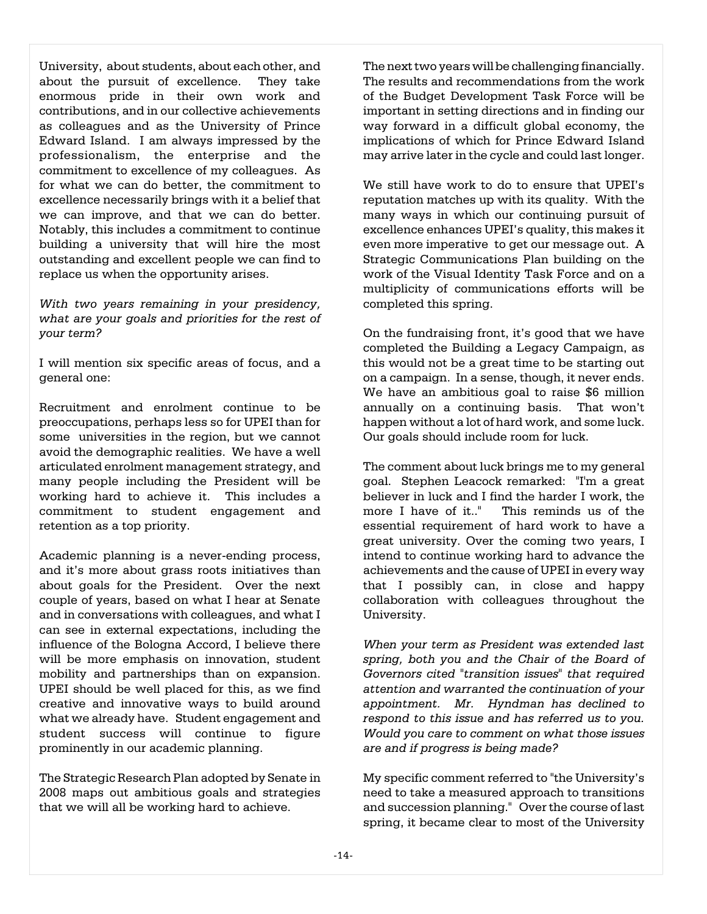University, about students, about each other, and about the pursuit of excellence. They take enormous pride in their own work and contributions, and in our collective achievements as colleagues and as the University of Prince Edward Island. I am always impressed by the professionalism, the enterprise and the commitment to excellence of my colleagues. As for what we can do better, the commitment to excellence necessarily brings with it a belief that we can improve, and that we can do better. Notably, this includes a commitment to continue building a university that will hire the most outstanding and excellent people we can find to replace us when the opportunity arises.

*With two years remaining in your presidency, what are your goals and priorities for the rest of your term?* 

I will mention six specific areas of focus, and a general one:

Recruitment and enrolment continue to be preoccupations, perhaps less so for UPEI than for some universities in the region, but we cannot avoid the demographic realities. We have a well articulated enrolment management strategy, and many people including the President will be working hard to achieve it. This includes a commitment to student engagement and retention as a top priority.

Academic planning is a never-ending process, and it's more about grass roots initiatives than about goals for the President. Over the next couple of years, based on what I hear at Senate and in conversations with colleagues, and what I can see in external expectations, including the influence of the Bologna Accord, I believe there will be more emphasis on innovation, student mobility and partnerships than on expansion. UPEI should be well placed for this, as we find creative and innovative ways to build around what we already have. Student engagement and student success will continue to figure prominently in our academic planning.

The Strategic Research Plan adopted by Senate in 2008 maps out ambitious goals and strategies that we will all be working hard to achieve.

The next two years will be challenging financially. The results and recommendations from the work of the Budget Development Task Force will be important in setting directions and in finding our way forward in a difficult global economy, the implications of which for Prince Edward Island may arrive later in the cycle and could last longer.

We still have work to do to ensure that UPEI's reputation matches up with its quality. With the many ways in which our continuing pursuit of excellence enhances UPEI's quality, this makes it even more imperative to get our message out. A Strategic Communications Plan building on the work of the Visual Identity Task Force and on a multiplicity of communications efforts will be completed this spring.

On the fundraising front, it's good that we have completed the Building a Legacy Campaign, as this would not be a great time to be starting out on a campaign. In a sense, though, it never ends. We have an ambitious goal to raise \$6 million annually on a continuing basis. That won't happen without a lot of hard work, and some luck. Our goals should include room for luck.

The comment about luck brings me to my general goal. Stephen Leacock remarked: "I'm a great believer in luck and I find the harder I work, the more I have of it.." This reminds us of the This reminds us of the essential requirement of hard work to have a great university. Over the coming two years, I intend to continue working hard to advance the achievements and the cause of UPEI in every way that I possibly can, in close and happy collaboration with colleagues throughout the University.

*When your term as President was extended last spring, both you and the Chair of the Board of Governors cited "transition issues" that required attention and warranted the continuation of your appointment. Mr. Hyndman has declined to respond to this issue and has referred us to you. Would you care to comment on what those issues are and if progress is being made?* 

My specific comment referred to "the University's need to take a measured approach to transitions and succession planning." Over the course of last spring, it became clear to most of the University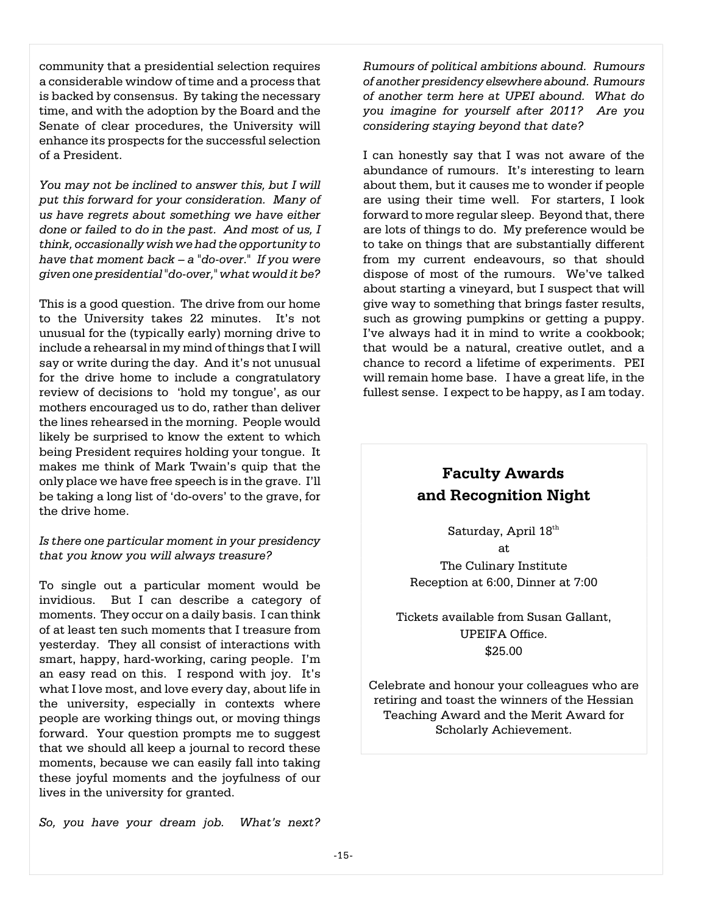community that a presidential selection requires a considerable window of time and a process that is backed by consensus. By taking the necessary time, and with the adoption by the Board and the Senate of clear procedures, the University will enhance its prospects for the successful selection of a President.

*You may not be inclined to answer this, but I will put this forward for your consideration. Many of us have regrets about something we have either done or failed to do in the past. And most of us, I think, occasionally wish we had the opportunity to have that moment back – a "do-over." If you were given one presidential "do-over," what would it be?*

This is a good question. The drive from our home to the University takes 22 minutes. It's not unusual for the (typically early) morning drive to include a rehearsal in my mind of things that I will say or write during the day. And it's not unusual for the drive home to include a congratulatory review of decisions to 'hold my tongue', as our mothers encouraged us to do, rather than deliver the lines rehearsed in the morning. People would likely be surprised to know the extent to which being President requires holding your tongue. It makes me think of Mark Twain's quip that the only place we have free speech is in the grave. I'll be taking a long list of 'do-overs' to the grave, for the drive home.

#### *Is there one particular moment in your presidency that you know you will always treasure?*

To single out a particular moment would be invidious. But I can describe a category of moments. They occur on a daily basis. I can think of at least ten such moments that I treasure from yesterday. They all consist of interactions with smart, happy, hard-working, caring people. I'm an easy read on this. I respond with joy. It's what I love most, and love every day, about life in the university, especially in contexts where people are working things out, or moving things forward. Your question prompts me to suggest that we should all keep a journal to record these moments, because we can easily fall into taking these joyful moments and the joyfulness of our lives in the university for granted.

*So, you have your dream job. What's next?*

*Rumours of political ambitions abound. Rumours of another presidency elsewhere abound. Rumours of another term here at UPEI abound. What do you imagine for yourself after 2011? Are you considering staying beyond that date?* 

I can honestly say that I was not aware of the abundance of rumours. It's interesting to learn about them, but it causes me to wonder if people are using their time well. For starters, I look forward to more regular sleep. Beyond that, there are lots of things to do. My preference would be to take on things that are substantially different from my current endeavours, so that should dispose of most of the rumours. We've talked about starting a vineyard, but I suspect that will give way to something that brings faster results, such as growing pumpkins or getting a puppy. I've always had it in mind to write a cookbook; that would be a natural, creative outlet, and a chance to record a lifetime of experiments. PEI will remain home base. I have a great life, in the fullest sense. I expect to be happy, as I am today.

# **Faculty Awards and Recognition Night**

Saturday, April 18<sup>th</sup> at The Culinary Institute Reception at 6:00, Dinner at 7:00

Tickets available from Susan Gallant, UPEIFA Office. \$25.00

Celebrate and honour your colleagues who are retiring and toast the winners of the Hessian Teaching Award and the Merit Award for Scholarly Achievement.